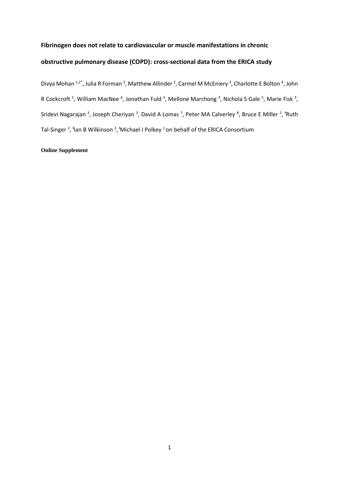## **Fibrinogen does not relate to cardiovascular or muscle manifestations in chronic**

# **obstructive pulmonary disease (COPD): cross-sectional data from the ERICA study**

Divya Mohan <sup>1,2\*</sup>, Julia R Forman <sup>3</sup>, Matthew Allinder <sup>2</sup>, Carmel M McEniery <sup>3</sup>, Charlotte E Bolton <sup>4</sup>, John R Cockcroft<sup>5</sup>, William MacNee<sup>6</sup>, Jonathan Fuld<sup>3</sup>, Mellone Marchong<sup>3</sup>, Nichola S Gale<sup>5</sup>, Marie Fisk<sup>3</sup>, Sridevi Nagarajan<sup>3</sup>, Joseph Cheriyan<sup>3</sup>, David A Lomas<sup>7</sup>, Peter MA Calverley<sup>8</sup>, Bruce E Miller<sup>2</sup>, <sup>†</sup>Ruth Tal-Singer<sup>2</sup>, <sup>†</sup>Ian B Wilkinson<sup>3</sup>, <sup>†</sup>Michael I Polkey <sup>1</sup> on behalf of the ERICA Consortium

### **Online Supplement**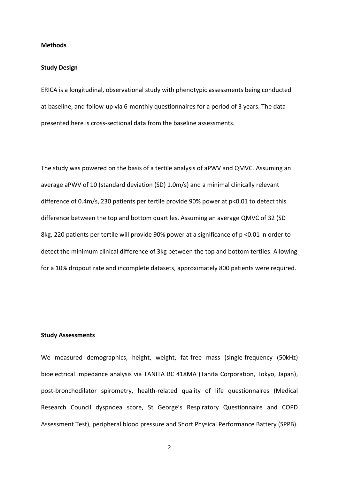#### **Methods**

#### **Study Design**

ERICA is a longitudinal, observational study with phenotypic assessments being conducted at baseline, and follow-up via 6-monthly questionnaires for a period of 3 years. The data presented here is cross-sectional data from the baseline assessments.

The study was powered on the basis of a tertile analysis of aPWV and QMVC. Assuming an average aPWV of 10 (standard deviation (SD) 1.0m/s) and a minimal clinically relevant difference of 0.4m/s, 230 patients per tertile provide 90% power at p<0.01 to detect this difference between the top and bottom quartiles. Assuming an average QMVC of 32 (SD 8kg, 220 patients per tertile will provide 90% power at a significance of p <0.01 in order to detect the minimum clinical difference of 3kg between the top and bottom tertiles. Allowing for a 10% dropout rate and incomplete datasets, approximately 800 patients were required.

### **Study Assessments**

We measured demographics, height, weight, fat-free mass (single-frequency (50kHz) bioelectrical impedance analysis via TANITA BC 418MA (Tanita Corporation, Tokyo, Japan), post-bronchodilator spirometry, health-related quality of life questionnaires (Medical Research Council dyspnoea score, St George's Respiratory Questionnaire and COPD Assessment Test), peripheral blood pressure and Short Physical Performance Battery (SPPB).

2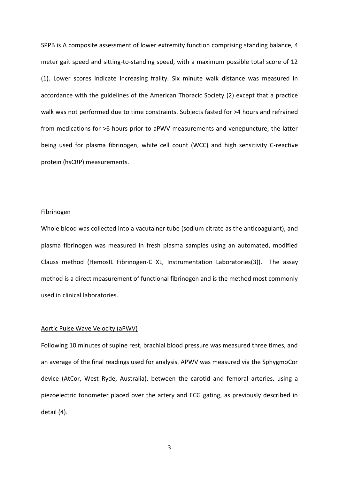SPPB is A composite assessment of lower extremity function comprising standing balance, 4 meter gait speed and sitting-to-standing speed, with a maximum possible total score of 12 (1). Lower scores indicate increasing frailty. Six minute walk distance was measured in accordance with the guidelines of the American Thoracic Society (2) except that a practice walk was not performed due to time constraints. Subjects fasted for >4 hours and refrained from medications for >6 hours prior to aPWV measurements and venepuncture, the latter being used for plasma fibrinogen, white cell count (WCC) and high sensitivity C-reactive protein (hsCRP) measurements.

#### Fibrinogen

Whole blood was collected into a vacutainer tube (sodium citrate as the anticoagulant), and plasma fibrinogen was measured in fresh plasma samples using an automated, modified Clauss method (HemosIL Fibrinogen-C XL, Instrumentation Laboratories(3)). The assay method is a direct measurement of functional fibrinogen and is the method most commonly used in clinical laboratories.

#### Aortic Pulse Wave Velocity (aPWV)

Following 10 minutes of supine rest, brachial blood pressure was measured three times, and an average of the final readings used for analysis. APWV was measured via the SphygmoCor device (AtCor, West Ryde, Australia), between the carotid and femoral arteries, using a piezoelectric tonometer placed over the artery and ECG gating, as previously described in detail (4).

3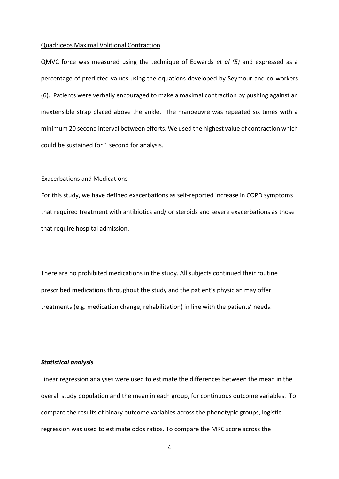#### Quadriceps Maximal Volitional Contraction

QMVC force was measured using the technique of Edwards *et al (5)* and expressed as a percentage of predicted values using the equations developed by Seymour and co-workers (6). Patients were verbally encouraged to make a maximal contraction by pushing against an inextensible strap placed above the ankle. The manoeuvre was repeated six times with a minimum 20 second interval between efforts. We used the highest value of contraction which could be sustained for 1 second for analysis.

#### Exacerbations and Medications

For this study, we have defined exacerbations as self-reported increase in COPD symptoms that required treatment with antibiotics and/ or steroids and severe exacerbations as those that require hospital admission.

There are no prohibited medications in the study. All subjects continued their routine prescribed medications throughout the study and the patient's physician may offer treatments (e.g. medication change, rehabilitation) in line with the patients' needs.

#### *Statistical analysis*

Linear regression analyses were used to estimate the differences between the mean in the overall study population and the mean in each group, for continuous outcome variables. To compare the results of binary outcome variables across the phenotypic groups, logistic regression was used to estimate odds ratios. To compare the MRC score across the

4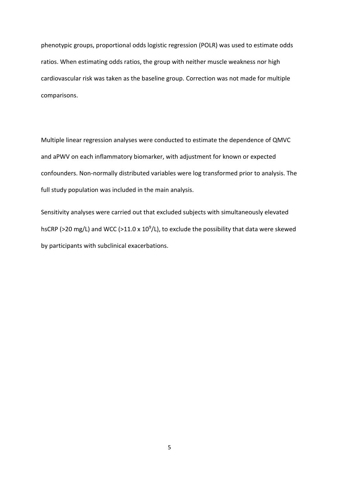phenotypic groups, proportional odds logistic regression (POLR) was used to estimate odds ratios. When estimating odds ratios, the group with neither muscle weakness nor high cardiovascular risk was taken as the baseline group. Correction was not made for multiple comparisons.

Multiple linear regression analyses were conducted to estimate the dependence of QMVC and aPWV on each inflammatory biomarker, with adjustment for known or expected confounders. Non-normally distributed variables were log transformed prior to analysis. The full study population was included in the main analysis.

Sensitivity analyses were carried out that excluded subjects with simultaneously elevated hsCRP ( $>$ 20 mg/L) and WCC ( $>$ 11.0 x 10<sup>9</sup>/L), to exclude the possibility that data were skewed by participants with subclinical exacerbations.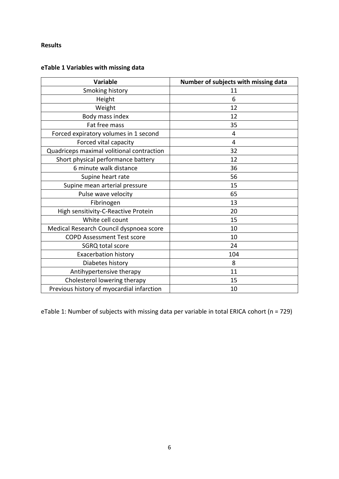# **Results**

# **eTable 1 Variables with missing data**

| <b>Variable</b>                           | Number of subjects with missing data |
|-------------------------------------------|--------------------------------------|
| Smoking history                           | 11                                   |
| Height                                    | 6                                    |
| Weight                                    | 12                                   |
| Body mass index                           | 12                                   |
| Fat free mass                             | 35                                   |
| Forced expiratory volumes in 1 second     | 4                                    |
| Forced vital capacity                     | 4                                    |
| Quadriceps maximal volitional contraction | 32                                   |
| Short physical performance battery        | 12                                   |
| 6 minute walk distance                    | 36                                   |
| Supine heart rate                         | 56                                   |
| Supine mean arterial pressure             | 15                                   |
| Pulse wave velocity                       | 65                                   |
| Fibrinogen                                | 13                                   |
| High sensitivity-C-Reactive Protein       | 20                                   |
| White cell count                          | 15                                   |
| Medical Research Council dyspnoea score   | 10                                   |
| <b>COPD Assessment Test score</b>         | 10                                   |
| SGRQ total score                          | 24                                   |
| <b>Exacerbation history</b>               | 104                                  |
| Diabetes history                          | 8                                    |
| Antihypertensive therapy                  | 11                                   |
| Cholesterol lowering therapy              | 15                                   |
| Previous history of myocardial infarction | 10                                   |

eTable 1: Number of subjects with missing data per variable in total ERICA cohort (n = 729)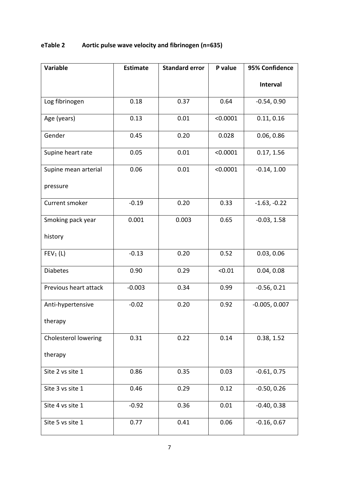# **eTable 2 Aortic pulse wave velocity and fibrinogen (n=635)**

| <b>Variable</b>       | <b>Estimate</b> | <b>Standard error</b> | P value  | 95% Confidence  |
|-----------------------|-----------------|-----------------------|----------|-----------------|
|                       |                 |                       |          | Interval        |
| Log fibrinogen        | 0.18            | 0.37                  | 0.64     | $-0.54, 0.90$   |
| Age (years)           | 0.13            | 0.01                  | < 0.0001 | 0.11, 0.16      |
| Gender                | 0.45            | 0.20                  | 0.028    | 0.06, 0.86      |
| Supine heart rate     | 0.05            | 0.01                  | < 0.0001 | 0.17, 1.56      |
| Supine mean arterial  | 0.06            | 0.01                  | < 0.0001 | $-0.14, 1.00$   |
| pressure              |                 |                       |          |                 |
| Current smoker        | $-0.19$         | 0.20                  | 0.33     | $-1.63, -0.22$  |
| Smoking pack year     | 0.001           | 0.003                 | 0.65     | $-0.03, 1.58$   |
| history               |                 |                       |          |                 |
| FEV <sub>1</sub> (L)  | $-0.13$         | 0.20                  | 0.52     | 0.03, 0.06      |
| <b>Diabetes</b>       | 0.90            | 0.29                  | < 0.01   | 0.04, 0.08      |
| Previous heart attack | $-0.003$        | 0.34                  | 0.99     | $-0.56, 0.21$   |
| Anti-hypertensive     | $-0.02$         | 0.20                  | 0.92     | $-0.005, 0.007$ |
| therapy               |                 |                       |          |                 |
| Cholesterol lowering  | 0.31            | 0.22                  | 0.14     | 0.38, 1.52      |
| therapy               |                 |                       |          |                 |
| Site 2 vs site 1      | 0.86            | 0.35                  | 0.03     | $-0.61, 0.75$   |
| Site 3 vs site 1      | 0.46            | 0.29                  | 0.12     | $-0.50, 0.26$   |
| Site 4 vs site 1      | $-0.92$         | 0.36                  | 0.01     | $-0.40, 0.38$   |
| Site 5 vs site 1      | 0.77            | 0.41                  | 0.06     | $-0.16, 0.67$   |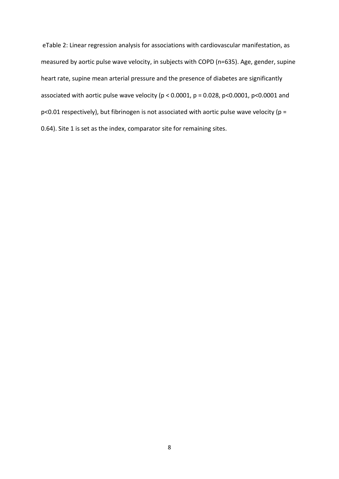eTable 2: Linear regression analysis for associations with cardiovascular manifestation, as measured by aortic pulse wave velocity, in subjects with COPD (n=635). Age, gender, supine heart rate, supine mean arterial pressure and the presence of diabetes are significantly associated with aortic pulse wave velocity ( $p < 0.0001$ ,  $p = 0.028$ ,  $p < 0.0001$ ,  $p < 0.0001$  and p<0.01 respectively), but fibrinogen is not associated with aortic pulse wave velocity (p = 0.64). Site 1 is set as the index, comparator site for remaining sites.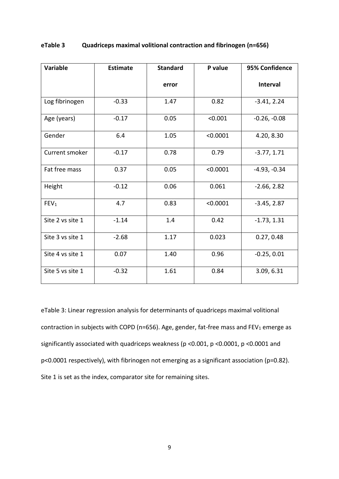| <b>Variable</b>  | <b>Estimate</b> | <b>Standard</b> | P value  | 95% Confidence  |
|------------------|-----------------|-----------------|----------|-----------------|
|                  |                 | error           |          | <b>Interval</b> |
| Log fibrinogen   | $-0.33$         | 1.47            | 0.82     | $-3.41, 2.24$   |
| Age (years)      | $-0.17$         | 0.05            | < 0.001  | $-0.26, -0.08$  |
| Gender           | 6.4             | 1.05            | < 0.0001 | 4.20, 8.30      |
| Current smoker   | $-0.17$         | 0.78            | 0.79     | $-3.77, 1.71$   |
| Fat free mass    | 0.37            | 0.05            | < 0.0001 | $-4.93, -0.34$  |
| Height           | $-0.12$         | 0.06            | 0.061    | $-2.66, 2.82$   |
| FEV <sub>1</sub> | 4.7             | 0.83            | < 0.0001 | $-3.45, 2.87$   |
| Site 2 vs site 1 | $-1.14$         | 1.4             | 0.42     | $-1.73, 1.31$   |
| Site 3 vs site 1 | $-2.68$         | 1.17            | 0.023    | 0.27, 0.48      |
| Site 4 vs site 1 | 0.07            | 1.40            | 0.96     | $-0.25, 0.01$   |
| Site 5 vs site 1 | $-0.32$         | 1.61            | 0.84     | 3.09, 6.31      |

## **eTable 3 Quadriceps maximal volitional contraction and fibrinogen (n=656)**

eTable 3: Linear regression analysis for determinants of quadriceps maximal volitional contraction in subjects with COPD (n=656). Age, gender, fat-free mass and FEV<sub>1</sub> emerge as significantly associated with quadriceps weakness (p <0.001, p <0.0001, p <0.0001 and p<0.0001 respectively), with fibrinogen not emerging as a significant association (p=0.82). Site 1 is set as the index, comparator site for remaining sites.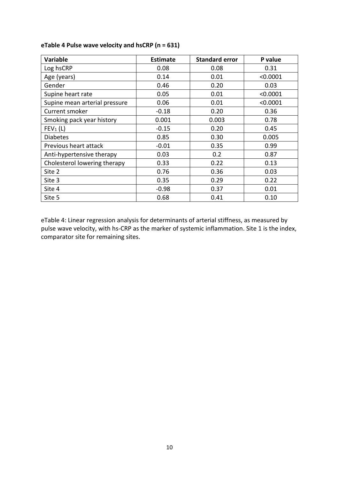| <b>Variable</b>               | <b>Estimate</b> | <b>Standard error</b> | P value  |
|-------------------------------|-----------------|-----------------------|----------|
| Log hsCRP                     | 0.08            | 0.08                  | 0.31     |
| Age (years)                   | 0.14            | 0.01                  | < 0.0001 |
| Gender                        | 0.46            | 0.20                  | 0.03     |
| Supine heart rate             | 0.05            | 0.01                  | < 0.0001 |
| Supine mean arterial pressure | 0.06            | 0.01                  | < 0.0001 |
| Current smoker                | $-0.18$         | 0.20                  | 0.36     |
| Smoking pack year history     | 0.001           | 0.003                 | 0.78     |
| FEV <sub>1</sub> (L)          | $-0.15$         | 0.20                  | 0.45     |
| <b>Diabetes</b>               | 0.85            | 0.30                  | 0.005    |
| Previous heart attack         | $-0.01$         | 0.35                  | 0.99     |
| Anti-hypertensive therapy     | 0.03            | 0.2                   | 0.87     |
| Cholesterol lowering therapy  | 0.33            | 0.22                  | 0.13     |
| Site 2                        | 0.76            | 0.36                  | 0.03     |
| Site 3                        | 0.35            | 0.29                  | 0.22     |
| Site 4                        | $-0.98$         | 0.37                  | 0.01     |
| Site 5                        | 0.68            | 0.41                  | 0.10     |

# **eTable 4 Pulse wave velocity and hsCRP (n = 631)**

eTable 4: Linear regression analysis for determinants of arterial stiffness, as measured by pulse wave velocity, with hs-CRP as the marker of systemic inflammation. Site 1 is the index, comparator site for remaining sites.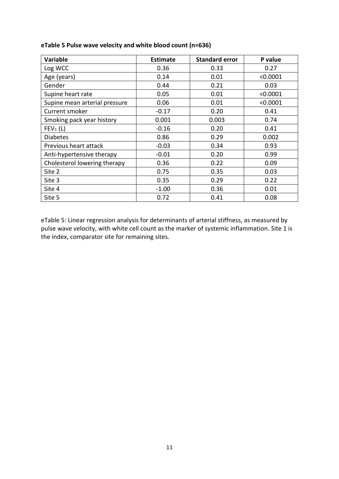| <b>Variable</b>               | <b>Estimate</b> | <b>Standard error</b> | P value  |
|-------------------------------|-----------------|-----------------------|----------|
| Log WCC                       | 0.36            | 0.33                  | 0.27     |
| Age (years)                   | 0.14            | 0.01                  | < 0.0001 |
| Gender                        | 0.44            | 0.21                  | 0.03     |
| Supine heart rate             | 0.05            | 0.01                  | < 0.0001 |
| Supine mean arterial pressure | 0.06            | 0.01                  | < 0.0001 |
| Current smoker                | $-0.17$         | 0.20                  | 0.41     |
| Smoking pack year history     | 0.001           | 0.003                 | 0.74     |
| FEV <sub>1</sub> (L)          | $-0.16$         | 0.20                  | 0.41     |
| <b>Diabetes</b>               | 0.86            | 0.29                  | 0.002    |
| Previous heart attack         | $-0.03$         | 0.34                  | 0.93     |
| Anti-hypertensive therapy     | $-0.01$         | 0.20                  | 0.99     |
| Cholesterol lowering therapy  | 0.36            | 0.22                  | 0.09     |
| Site 2                        | 0.75            | 0.35                  | 0.03     |
| Site 3                        | 0.35            | 0.29                  | 0.22     |
| Site 4                        | $-1.00$         | 0.36                  | 0.01     |
| Site 5                        | 0.72            | 0.41                  | 0.08     |

# **eTable 5 Pulse wave velocity and white blood count (n=636)**

eTable 5: Linear regression analysis for determinants of arterial stiffness, as measured by pulse wave velocity, with white cell count as the marker of systemic inflammation. Site 1 is the index, comparator site for remaining sites.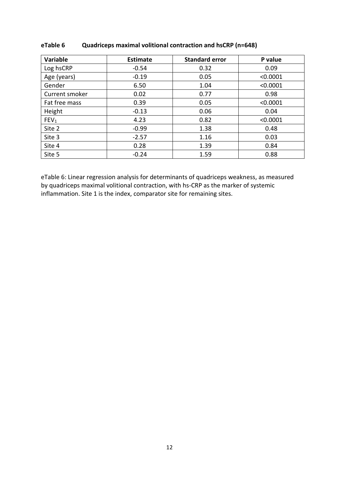| Variable         | <b>Estimate</b> | <b>Standard error</b> | P value  |
|------------------|-----------------|-----------------------|----------|
| Log hsCRP        | $-0.54$         | 0.32                  | 0.09     |
| Age (years)      | $-0.19$         | 0.05                  | < 0.0001 |
| Gender           | 6.50            | 1.04                  | < 0.0001 |
| Current smoker   | 0.02            | 0.77                  | 0.98     |
| Fat free mass    | 0.39            | 0.05                  | < 0.0001 |
| Height           | $-0.13$         | 0.06                  | 0.04     |
| FEV <sub>1</sub> | 4.23            | 0.82                  | < 0.0001 |
| Site 2           | $-0.99$         | 1.38                  | 0.48     |
| Site 3           | $-2.57$         | 1.16                  | 0.03     |
| Site 4           | 0.28            | 1.39                  | 0.84     |
| Site 5           | $-0.24$         | 1.59                  | 0.88     |

# **eTable 6 Quadriceps maximal volitional contraction and hsCRP (n=648)**

eTable 6: Linear regression analysis for determinants of quadriceps weakness, as measured by quadriceps maximal volitional contraction, with hs-CRP as the marker of systemic inflammation. Site 1 is the index, comparator site for remaining sites.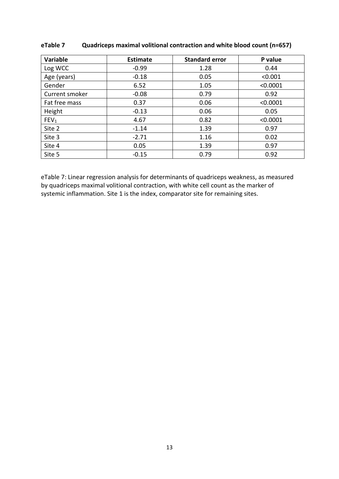| Variable         | <b>Estimate</b> | <b>Standard error</b> | P value  |
|------------------|-----------------|-----------------------|----------|
| Log WCC          | $-0.99$         | 1.28                  | 0.44     |
| Age (years)      | $-0.18$         | 0.05                  | < 0.001  |
| Gender           | 6.52            | 1.05                  | < 0.0001 |
| Current smoker   | $-0.08$         | 0.79                  | 0.92     |
| Fat free mass    | 0.37            | 0.06                  | < 0.0001 |
| Height           | $-0.13$         | 0.06                  | 0.05     |
| FEV <sub>1</sub> | 4.67            | 0.82                  | < 0.0001 |
| Site 2           | $-1.14$         | 1.39                  | 0.97     |
| Site 3           | $-2.71$         | 1.16                  | 0.02     |
| Site 4           | 0.05            | 1.39                  | 0.97     |
| Site 5           | $-0.15$         | 0.79                  | 0.92     |

# **eTable 7 Quadriceps maximal volitional contraction and white blood count (n=657)**

eTable 7: Linear regression analysis for determinants of quadriceps weakness, as measured by quadriceps maximal volitional contraction, with white cell count as the marker of systemic inflammation. Site 1 is the index, comparator site for remaining sites.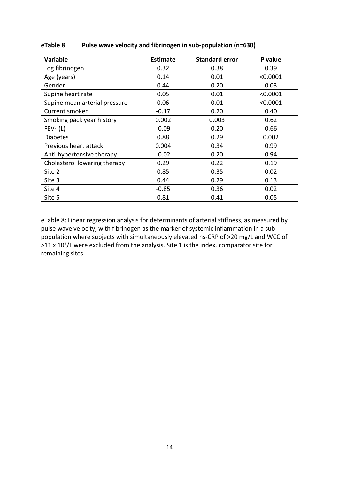| <b>Variable</b>               | <b>Estimate</b> | <b>Standard error</b> | P value  |
|-------------------------------|-----------------|-----------------------|----------|
| Log fibrinogen                | 0.32            | 0.38                  | 0.39     |
| Age (years)                   | 0.14            | 0.01                  | < 0.0001 |
| Gender                        | 0.44            | 0.20                  | 0.03     |
| Supine heart rate             | 0.05            | 0.01                  | < 0.0001 |
| Supine mean arterial pressure | 0.06            | 0.01                  | < 0.0001 |
| Current smoker                | $-0.17$         | 0.20                  | 0.40     |
| Smoking pack year history     | 0.002           | 0.003                 | 0.62     |
| FEV <sub>1</sub> (L)          | $-0.09$         | 0.20                  | 0.66     |
| <b>Diabetes</b>               | 0.88            | 0.29                  | 0.002    |
| Previous heart attack         | 0.004           | 0.34                  | 0.99     |
| Anti-hypertensive therapy     | $-0.02$         | 0.20                  | 0.94     |
| Cholesterol lowering therapy  | 0.29            | 0.22                  | 0.19     |
| Site 2                        | 0.85            | 0.35                  | 0.02     |
| Site 3                        | 0.44            | 0.29                  | 0.13     |
| Site 4                        | $-0.85$         | 0.36                  | 0.02     |
| Site 5                        | 0.81            | 0.41                  | 0.05     |

# **eTable 8 Pulse wave velocity and fibrinogen in sub-population (n=630)**

eTable 8: Linear regression analysis for determinants of arterial stiffness, as measured by pulse wave velocity, with fibrinogen as the marker of systemic inflammation in a subpopulation where subjects with simultaneously elevated hs-CRP of >20 mg/L and WCC of  $>$ 11 x 10<sup>9</sup>/L were excluded from the analysis. Site 1 is the index, comparator site for remaining sites.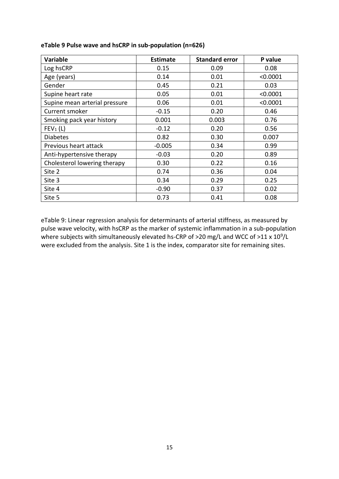| <b>Variable</b>               | <b>Estimate</b> | <b>Standard error</b> | P value  |
|-------------------------------|-----------------|-----------------------|----------|
| Log hsCRP                     | 0.15            | 0.09                  | 0.08     |
| Age (years)                   | 0.14            | 0.01                  | < 0.0001 |
| Gender                        | 0.45            | 0.21                  | 0.03     |
| Supine heart rate             | 0.05            | 0.01                  | < 0.0001 |
| Supine mean arterial pressure | 0.06            | 0.01                  | < 0.0001 |
| Current smoker                | $-0.15$         | 0.20                  | 0.46     |
| Smoking pack year history     | 0.001           | 0.003                 | 0.76     |
| FEV <sub>1</sub> (L)          | $-0.12$         | 0.20                  | 0.56     |
| <b>Diabetes</b>               | 0.82            | 0.30                  | 0.007    |
| Previous heart attack         | $-0.005$        | 0.34                  | 0.99     |
| Anti-hypertensive therapy     | $-0.03$         | 0.20                  | 0.89     |
| Cholesterol lowering therapy  | 0.30            | 0.22                  | 0.16     |
| Site 2                        | 0.74            | 0.36                  | 0.04     |
| Site 3                        | 0.34            | 0.29                  | 0.25     |
| Site 4                        | $-0.90$         | 0.37                  | 0.02     |
| Site 5                        | 0.73            | 0.41                  | 0.08     |

## **eTable 9 Pulse wave and hsCRP in sub-population (n=626)**

eTable 9: Linear regression analysis for determinants of arterial stiffness, as measured by pulse wave velocity, with hsCRP as the marker of systemic inflammation in a sub-population where subjects with simultaneously elevated hs-CRP of >20 mg/L and WCC of >11 x  $10^9$ /L were excluded from the analysis. Site 1 is the index, comparator site for remaining sites.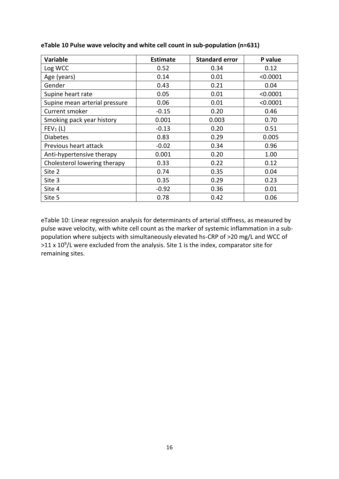| <b>Variable</b>               | <b>Estimate</b> | <b>Standard error</b> | P value  |
|-------------------------------|-----------------|-----------------------|----------|
| Log WCC                       | 0.52            | 0.34                  | 0.12     |
| Age (years)                   | 0.14            | 0.01                  | < 0.0001 |
| Gender                        | 0.43            | 0.21                  | 0.04     |
| Supine heart rate             | 0.05            | 0.01                  | < 0.0001 |
| Supine mean arterial pressure | 0.06            | 0.01                  | < 0.0001 |
| Current smoker                | $-0.15$         | 0.20                  | 0.46     |
| Smoking pack year history     | 0.001           | 0.003                 | 0.70     |
| FEV <sub>1</sub> (L)          | $-0.13$         | 0.20                  | 0.51     |
| <b>Diabetes</b>               | 0.83            | 0.29                  | 0.005    |
| Previous heart attack         | $-0.02$         | 0.34                  | 0.96     |
| Anti-hypertensive therapy     | 0.001           | 0.20                  | 1.00     |
| Cholesterol lowering therapy  | 0.33            | 0.22                  | 0.12     |
| Site 2                        | 0.74            | 0.35                  | 0.04     |
| Site 3                        | 0.35            | 0.29                  | 0.23     |
| Site 4                        | $-0.92$         | 0.36                  | 0.01     |
| Site 5                        | 0.78            | 0.42                  | 0.06     |

**eTable 10 Pulse wave velocity and white cell count in sub-population (n=631)**

eTable 10: Linear regression analysis for determinants of arterial stiffness, as measured by pulse wave velocity, with white cell count as the marker of systemic inflammation in a subpopulation where subjects with simultaneously elevated hs-CRP of >20 mg/L and WCC of  $>$ 11 x 10<sup>9</sup>/L were excluded from the analysis. Site 1 is the index, comparator site for remaining sites.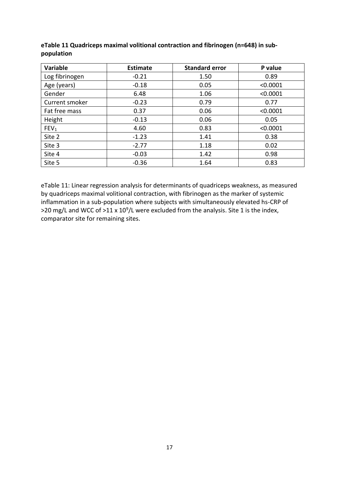| Variable         | <b>Estimate</b> | <b>Standard error</b> | P value  |
|------------------|-----------------|-----------------------|----------|
| Log fibrinogen   | $-0.21$         | 1.50                  | 0.89     |
| Age (years)      | $-0.18$         | 0.05                  | < 0.0001 |
| Gender           | 6.48            | 1.06                  | < 0.0001 |
| Current smoker   | $-0.23$         | 0.79                  | 0.77     |
| Fat free mass    | 0.37            | 0.06                  | < 0.0001 |
| Height           | $-0.13$         | 0.06                  | 0.05     |
| FEV <sub>1</sub> | 4.60            | 0.83                  | < 0.0001 |
| Site 2           | $-1.23$         | 1.41                  | 0.38     |
| Site 3           | $-2.77$         | 1.18                  | 0.02     |
| Site 4           | $-0.03$         | 1.42                  | 0.98     |
| Site 5           | $-0.36$         | 1.64                  | 0.83     |

# **eTable 11 Quadriceps maximal volitional contraction and fibrinogen (n=648) in subpopulation**

eTable 11: Linear regression analysis for determinants of quadriceps weakness, as measured by quadriceps maximal volitional contraction, with fibrinogen as the marker of systemic inflammation in a sub-population where subjects with simultaneously elevated hs-CRP of  $>$ 20 mg/L and WCC of  $>$ 11 x 10<sup>9</sup>/L were excluded from the analysis. Site 1 is the index, comparator site for remaining sites.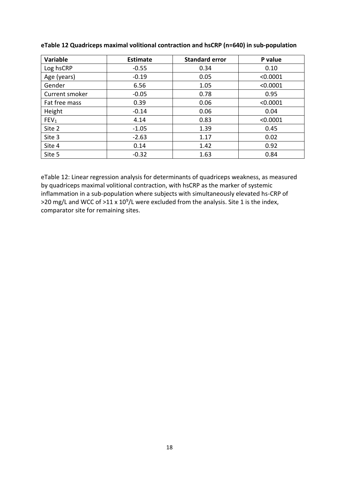| Variable         | <b>Estimate</b> | <b>Standard error</b> | P value  |
|------------------|-----------------|-----------------------|----------|
| Log hsCRP        | $-0.55$         | 0.34                  | 0.10     |
| Age (years)      | $-0.19$         | 0.05                  | < 0.0001 |
| Gender           | 6.56            | 1.05                  | < 0.0001 |
| Current smoker   | $-0.05$         | 0.78                  | 0.95     |
| Fat free mass    | 0.39            | 0.06                  | < 0.0001 |
| Height           | $-0.14$         | 0.06                  | 0.04     |
| FEV <sub>1</sub> | 4.14            | 0.83                  | < 0.0001 |
| Site 2           | $-1.05$         | 1.39                  | 0.45     |
| Site 3           | $-2.63$         | 1.17                  | 0.02     |
| Site 4           | 0.14            | 1.42                  | 0.92     |
| Site 5           | $-0.32$         | 1.63                  | 0.84     |

## **eTable 12 Quadriceps maximal volitional contraction and hsCRP (n=640) in sub-population**

eTable 12: Linear regression analysis for determinants of quadriceps weakness, as measured by quadriceps maximal volitional contraction, with hsCRP as the marker of systemic inflammation in a sub-population where subjects with simultaneously elevated hs-CRP of  $>$ 20 mg/L and WCC of  $>$ 11 x 10<sup>9</sup>/L were excluded from the analysis. Site 1 is the index, comparator site for remaining sites.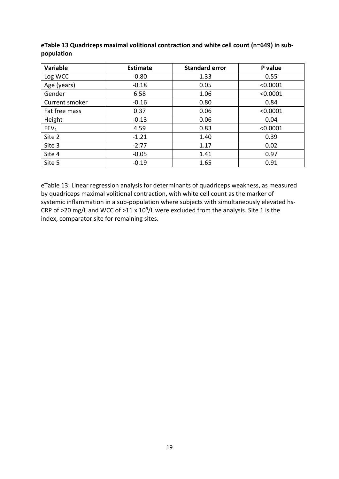| Variable         | <b>Estimate</b> | <b>Standard error</b> | P value  |
|------------------|-----------------|-----------------------|----------|
| Log WCC          | $-0.80$         | 1.33                  | 0.55     |
| Age (years)      | $-0.18$         | 0.05                  | < 0.0001 |
| Gender           | 6.58            | 1.06                  | < 0.0001 |
| Current smoker   | $-0.16$         | 0.80                  | 0.84     |
| Fat free mass    | 0.37            | 0.06                  | < 0.0001 |
| Height           | $-0.13$         | 0.06                  | 0.04     |
| FEV <sub>1</sub> | 4.59            | 0.83                  | < 0.0001 |
| Site 2           | $-1.21$         | 1.40                  | 0.39     |
| Site 3           | $-2.77$         | 1.17                  | 0.02     |
| Site 4           | $-0.05$         | 1.41                  | 0.97     |
| Site 5           | $-0.19$         | 1.65                  | 0.91     |

**eTable 13 Quadriceps maximal volitional contraction and white cell count (n=649) in subpopulation**

eTable 13: Linear regression analysis for determinants of quadriceps weakness, as measured by quadriceps maximal volitional contraction, with white cell count as the marker of systemic inflammation in a sub-population where subjects with simultaneously elevated hs-CRP of >20 mg/L and WCC of >11 x  $10^9$ /L were excluded from the analysis. Site 1 is the index, comparator site for remaining sites.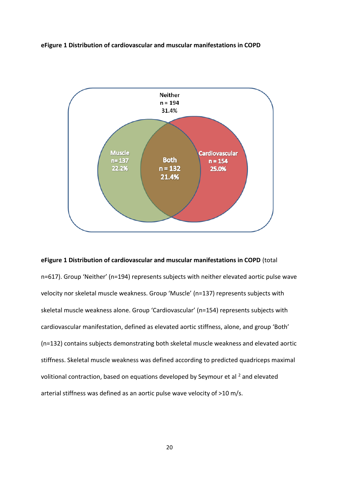### **eFigure 1 Distribution of cardiovascular and muscular manifestations in COPD**



# **eFigure 1 Distribution of cardiovascular and muscular manifestations in COPD** (total

n=617). Group 'Neither' (n=194) represents subjects with neither elevated aortic pulse wave velocity nor skeletal muscle weakness. Group 'Muscle' (n=137) represents subjects with skeletal muscle weakness alone. Group 'Cardiovascular' (n=154) represents subjects with cardiovascular manifestation, defined as elevated aortic stiffness, alone, and group 'Both' (n=132) contains subjects demonstrating both skeletal muscle weakness and elevated aortic stiffness. Skeletal muscle weakness was defined according to predicted quadriceps maximal volitional contraction, based on equations developed by Seymour et al <sup>2</sup> and elevated arterial stiffness was defined as an aortic pulse wave velocity of >10 m/s.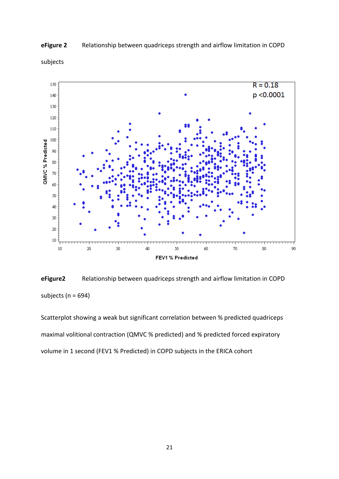

## **eFigure 2** Relationship between quadriceps strength and airflow limitation in COPD

subjects

**eFigure2** Relationship between quadriceps strength and airflow limitation in COPD subjects ( $n = 694$ )

Scatterplot showing a weak but significant correlation between % predicted quadriceps maximal volitional contraction (QMVC % predicted) and % predicted forced expiratory volume in 1 second (FEV1 % Predicted) in COPD subjects in the ERICA cohort